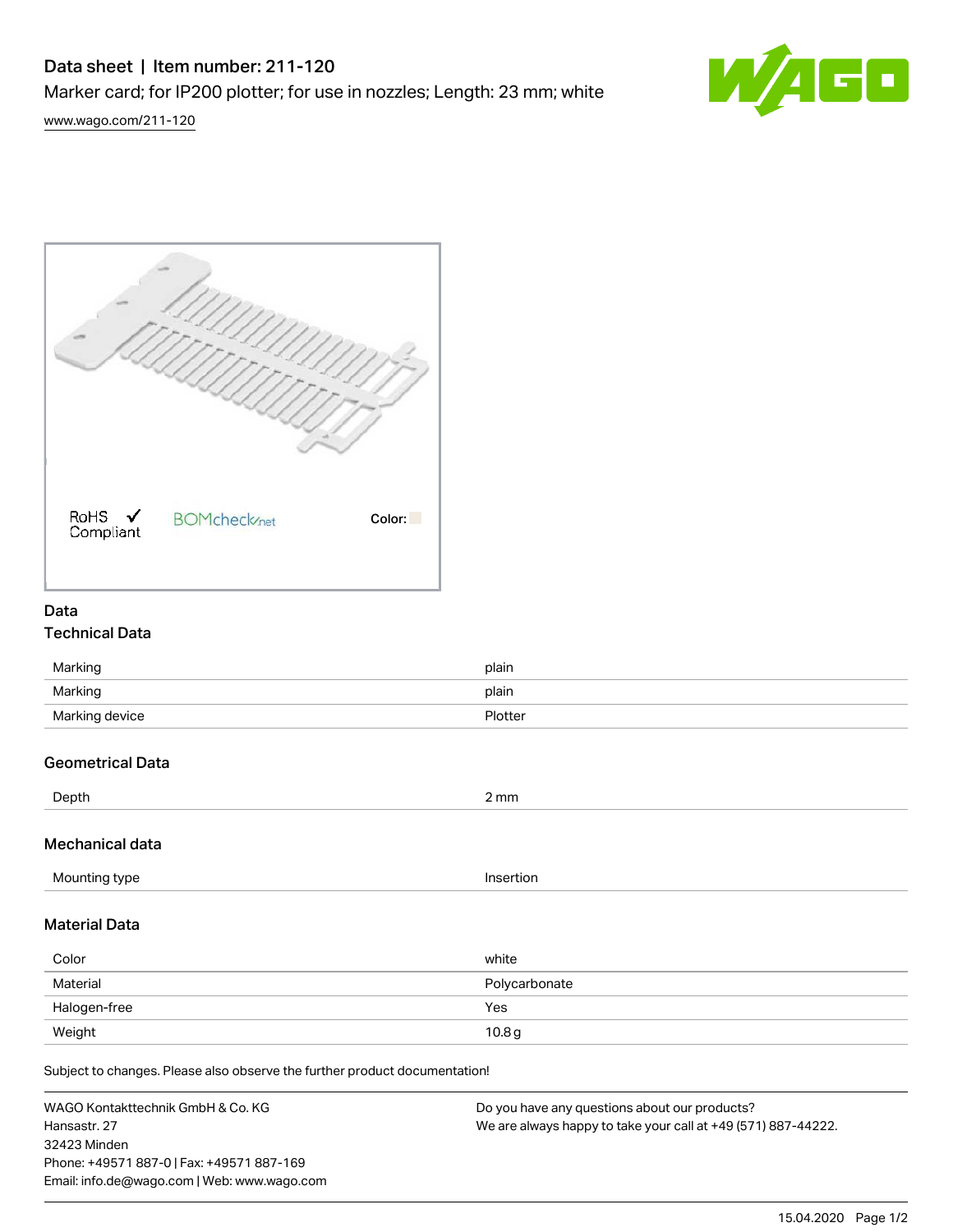# Data sheet | Item number: 211-120

Marker card; for IP200 plotter; for use in nozzles; Length: 23 mm; white



[www.wago.com/211-120](http://www.wago.com/211-120)



# Data

## Technical Data

| Marking        | plain   |
|----------------|---------|
| Marking        | plain   |
| Marking device | Plotter |

## Geometrical Data

| Depth                | $2 \, \text{mm}$ |
|----------------------|------------------|
| Mechanical data      |                  |
| Mounting type        | Insertion        |
| <b>Material Data</b> |                  |
| Color                | white            |
| Material             | Polycarbonate    |

Subject to changes. Please also observe the further product documentation!

Halogen-free Yes Weight  $10.8\,$ g $\,$ 

WAGO Kontakttechnik GmbH & Co. KG Hansastr. 27 32423 Minden Phone: +49571 887-0 | Fax: +49571 887-169 Email: info.de@wago.com | Web: www.wago.com Do you have any questions about our products? We are always happy to take your call at +49 (571) 887-44222.